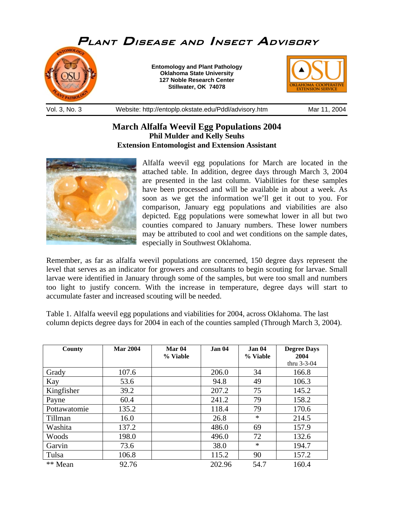

## **March Alfalfa Weevil Egg Populations 2004 Phil Mulder and Kelly Seuhs Extension Entomologist and Extension Assistant**



Alfalfa weevil egg populations for March are located in the attached table. In addition, degree days through March 3, 2004 are presented in the last column. Viabilities for these samples have been processed and will be available in about a week. As soon as we get the information we'll get it out to you. For comparison, January egg populations and viabilities are also depicted. Egg populations were somewhat lower in all but two counties compared to January numbers. These lower numbers may be attributed to cool and wet conditions on the sample dates, especially in Southwest Oklahoma.

Remember, as far as alfalfa weevil populations are concerned, 150 degree days represent the level that serves as an indicator for growers and consultants to begin scouting for larvae. Small larvae were identified in January through some of the samples, but were too small and numbers too light to justify concern. With the increase in temperature, degree days will start to accumulate faster and increased scouting will be needed.

Table 1. Alfalfa weevil egg populations and viabilities for 2004, across Oklahoma. The last column depicts degree days for 2004 in each of the counties sampled (Through March 3, 2004).

| County       | <b>Mar 2004</b> | Mar <sub>04</sub><br>% Viable | Jan 04 | <b>Jan 04</b><br>% Viable | <b>Degree Days</b><br>2004 |
|--------------|-----------------|-------------------------------|--------|---------------------------|----------------------------|
|              |                 |                               |        |                           | thru $3-3-04$              |
| Grady        | 107.6           |                               | 206.0  | 34                        | 166.8                      |
| Kay          | 53.6            |                               | 94.8   | 49                        | 106.3                      |
| Kingfisher   | 39.2            |                               | 207.2  | 75                        | 145.2                      |
| Payne        | 60.4            |                               | 241.2  | 79                        | 158.2                      |
| Pottawatomie | 135.2           |                               | 118.4  | 79                        | 170.6                      |
| Tillman      | 16.0            |                               | 26.8   | $\ast$                    | 214.5                      |
| Washita      | 137.2           |                               | 486.0  | 69                        | 157.9                      |
| Woods        | 198.0           |                               | 496.0  | 72                        | 132.6                      |
| Garvin       | 73.6            |                               | 38.0   | $\ast$                    | 194.7                      |
| Tulsa        | 106.8           |                               | 115.2  | 90                        | 157.2                      |
| ** Mean      | 92.76           |                               | 202.96 | 54.7                      | 160.4                      |